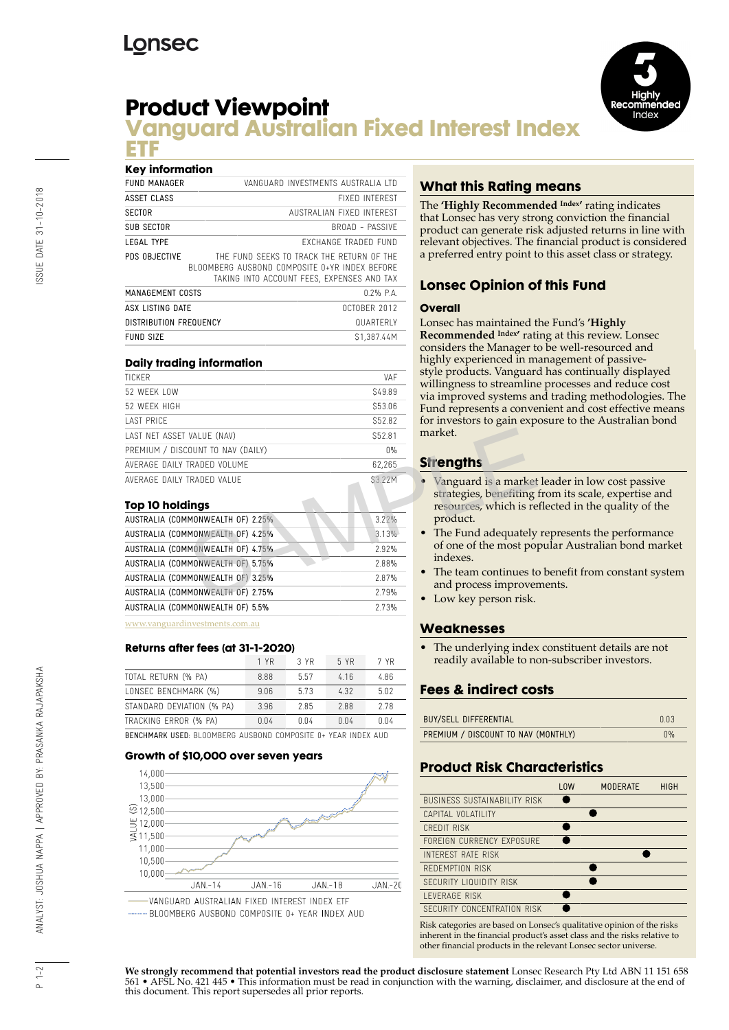# **Product Viewpoint**



# **Vanguard Australian Fixed Interest Index ETF**

#### **Key information**

| <b>FUND MANAGER</b>           | VANGUARD INVESTMENTS AUSTRALIA LTD                                                                                                       |
|-------------------------------|------------------------------------------------------------------------------------------------------------------------------------------|
| ASSET CLASS                   | <b>FIXED INTEREST</b>                                                                                                                    |
| <b>SECTOR</b>                 | AUSTRALIAN FIXED INTERFST                                                                                                                |
| <b>SUB SECTOR</b>             | <b>BROAD - PASSIVE</b>                                                                                                                   |
| <b>LEGAL TYPE</b>             | FXCHANGF TRADFD FUND                                                                                                                     |
| PDS OBJECTIVE                 | THE FUND SEEKS TO TRACK THE RETURN OF THE<br>BLOOMBERG AUSBOND COMPOSITE 0+YR INDEX BEFORE<br>TAKING INTO ACCOUNT FEES. EXPENSES AND TAX |
| MANAGEMENT COSTS              | $0.2%$ P.A.                                                                                                                              |
| ASX LISTING DATE              | <b>OCTOBER 2012</b>                                                                                                                      |
| <b>DISTRIBUTION FREQUENCY</b> | <b>QUARTERIY</b>                                                                                                                         |
| <b>FUND SIZE</b>              | S1.387.44M                                                                                                                               |

#### **Daily trading information**

| <b>TICKER</b>                     | VAF                     |
|-----------------------------------|-------------------------|
| 52 WFFK LOW                       | S49.89                  |
| 52 WFFK HIGH                      | \$53.06                 |
| <b>LAST PRICE</b>                 | S52.82                  |
| LAST NET ASSET VALUE (NAV)        | S52.81                  |
| PREMIUM / DISCOUNT TO NAV (DAILY) | $\bigcap \mathcal{Y}_n$ |
| AVERAGE DAILY TRADED VOLUME       | 62.265                  |
| AVERAGE DAILY TRADED VALUE        | S3.22M                  |
|                                   |                         |

#### **Top 10 holdings**

| LAST NET ASSET VALUE (NAV)        | S52.81   | market.                                          |
|-----------------------------------|----------|--------------------------------------------------|
| PREMIUM / DISCOUNT TO NAV (DAILY) | $0\%$    |                                                  |
| AVERAGE DAILY TRADED VOLUME       | 62,265   | <b>Strengths</b>                                 |
| AVERAGE DAILY TRADED VALUE        | S3.22M   | Vanguard is a market                             |
| Top 10 holdings                   |          | strategies, benefiting<br>resources, which is re |
| AUSTRALIA (COMMONWEALTH OF) 2.25% | $3.22\%$ | product.                                         |
| AUSTRALIA (COMMONWEALTH OF) 4.25% | 3.13%    | • The Fund adequately                            |
| AUSTRALIA (COMMONWEALTH OF) 4.75% | 2.92%    | of one of the most po-                           |
| AUSTRALIA (COMMONWEALTH OF) 5.75% | 2.88%    | indexes.                                         |
| AUSTRALIA (COMMONWEALTH OF) 3.25% | 2.87%    | The team continues to                            |
| AUSTRALIA (COMMONWEALTH OF) 2.75% | 2.79%    | and process improver<br>• Low key person risk.   |
| AUSTRALIA (COMMONWEALTH OF) 5.5%  | 2.73%    |                                                  |
| www.yonguardinyostmonts.com       |          |                                                  |

[www.vanguardinvestments.com.au](http://www.vanguardinvestments.com.au)

#### **Returns after fees (at 31-1-2020)**

|                                                                      | 1 YR | 3 YR | 5 YR | 7 YR |  |
|----------------------------------------------------------------------|------|------|------|------|--|
| TOTAL RETURN (% PA)                                                  | 8.88 | 5.57 | 4.16 | 4.86 |  |
| LONSEC BENCHMARK (%)                                                 | 9.06 | 5.73 | 4.32 | 5.02 |  |
| STANDARD DEVIATION (% PA)                                            | 3.96 | 2.85 | 288  | 2.78 |  |
| TRACKING ERROR (% PA)                                                | 0.04 | 0.04 | 0.04 | 0.04 |  |
| <b>BENCHMARK USED: BIOOMBERG AUSBOND COMPOSITE 0+ YEAR INDEX AUD</b> |      |      |      |      |  |

#### **Growth of \$10,000 over seven years**



## **What this Rating means**

The **'Highly Recommended Index'** rating indicates that Lonsec has very strong conviction the financial product can generate risk adjusted returns in line with relevant objectives. The financial product is considered a preferred entry point to this asset class or strategy.

## **Lonsec Opinion of this Fund**

#### **Overall**

Lonsec has maintained the Fund's **'Highly Recommended Index'** rating at this review. Lonsec considers the Manager to be well-resourced and highly experienced in management of passivestyle products. Vanguard has continually displayed willingness to streamline processes and reduce cost via improved systems and trading methodologies. The Fund represents a convenient and cost effective means for investors to gain exposure to the Australian bond market.

## **Strengths**

- Vanguard is a market leader in low cost passive strategies, benefiting from its scale, expertise and resources, which is reflected in the quality of the product.
- The Fund adequately represents the performance of one of the most popular Australian bond market indexes.
- The team continues to benefit from constant system and process improvements.
- Low key person risk.

## **Weaknesses**

The underlying index constituent details are not readily available to non-subscriber investors.

## **Fees & indirect costs**

| <b>BUY/SELL DIFFERENTIAL</b>        | 0.03                    |
|-------------------------------------|-------------------------|
| PREMIUM / DISCOUNT TO NAV (MONTHLY) | $\bigcap \mathcal{Y}_n$ |

## **Product Risk Characteristics**

|                                     | <b>LOW</b> | <b>MODERATE</b> | <b>HIGH</b> |
|-------------------------------------|------------|-----------------|-------------|
| <b>BUSINESS SUSTAINABILITY RISK</b> |            |                 |             |
| CAPITAL VOLATILITY                  |            |                 |             |
| CREDIT RISK                         |            |                 |             |
| FORFIGN CURRENCY EXPOSURE           |            |                 |             |
| INTEREST RATE RISK                  |            |                 |             |
| REDEMPTION RISK                     |            |                 |             |
| SECURITY LIQUIDITY RISK             |            |                 |             |
| <b>I FVFRAGF RISK</b>               |            |                 |             |
| SECURITY CONCENTRATION RISK         |            |                 |             |

Risk categories are based on Lonsec's qualitative opinion of the risks inherent in the financial product's asset class and the risks relative to other financial products in the relevant Lonsec sector universe.

**We strongly recommend that potential investors read the product disclosure statement** Lonsec Research Pty Ltd ABN 11 151 658 561 • AFSL No. 421 445 • This information must be read in conjunction with the warning, disclaimer, and disclosure at the end of this document. This report supersedes all prior reports.